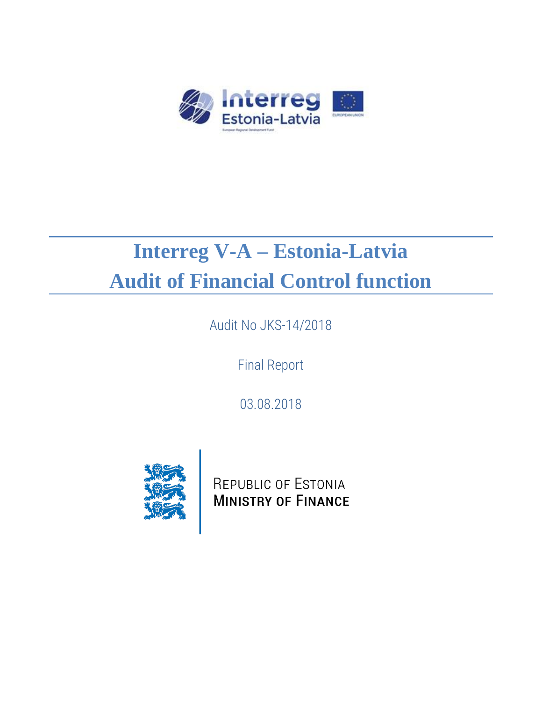

# **Interreg V-A – Estonia-Latvia Audit of Financial Control function**

Audit No JKS-14/2018

Final Report

03.08.2018



REPUBLIC OF ESTONIA **MINISTRY OF FINANCE**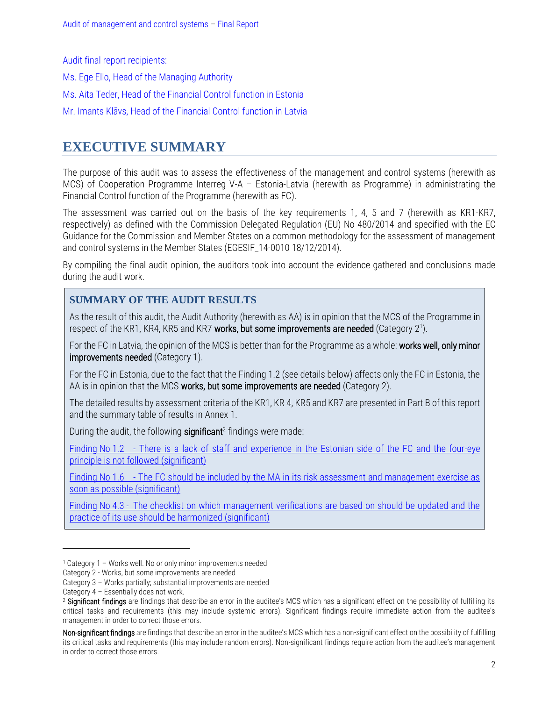Audit final report recipients:

Ms. Ege Ello, Head of the Managing Authority

Ms. Aita Teder, Head of the Financial Control function in Estonia

Mr. Imants Klāvs, Head of the Financial Control function in Latvia

### <span id="page-1-0"></span>**EXECUTIVE SUMMARY**

The purpose of this audit was to assess the effectiveness of the management and control systems (herewith as MCS) of Cooperation Programme Interreg V-A – Estonia-Latvia (herewith as Programme) in administrating the Financial Control function of the Programme (herewith as FC).

The assessment was carried out on the basis of the key requirements 1, 4, 5 and 7 (herewith as KR1-KR7, respectively) as defined with the Commission Delegated Regulation (EU) No 480/2014 and specified with the EC Guidance for the Commission and Member States on a common methodology for the assessment of management and control systems in the Member States (EGESIF\_14-0010 18/12/2014).

By compiling the final audit opinion, the auditors took into account the evidence gathered and conclusions made during the audit work.

### **SUMMARY OF THE AUDIT RESULTS**

As the result of this audit, the Audit Authority (herewith as AA) is in opinion that the MCS of the Programme in respect of the KR1, KR4, KR5 and KR7 works, but some improvements are needed (Category 2<sup>1</sup>).

For the FC in Latvia, the opinion of the MCS is better than for the Programme as a whole: works well, only minor improvements needed (Category 1).

For the FC in Estonia, due to the fact that the Finding 1.2 (see details below) affects only the FC in Estonia, the AA is in opinion that the MCS works, but some improvements are needed (Category 2).

The detailed results by assessment criteria of the KR1, KR 4, KR5 and KR7 are presented in Part B of this report and the summary table of results in Annex 1.

During the audit, the following significant<sup>2</sup> findings were made:

Finding No 1.2 - [There is a lack of staff and experience in the Estonian side of the FC and the four-eye](#page-6-0)  [principle is not followed \(significant\)](#page-6-0)

Finding No 1.6 - [The FC should be included by the MA in its risk assessment and management exercise as](#page-8-0)  [soon as possible \(significant\)](#page-8-0)

Finding No 4.3 - [The checklist on which management verifications are based on should be updated and the](#page-9-0)  [practice of its use should be harmonized \(significant\)](#page-9-0)

<sup>1</sup> Category 1 – Works well. No or only minor improvements needed

Category 2 - Works, but some improvements are needed

Category 3 – Works partially; substantial improvements are needed

Category 4 – Essentially does not work.

<sup>&</sup>lt;sup>2</sup> Significant findings are findings that describe an error in the auditee's MCS which has a significant effect on the possibility of fulfilling its critical tasks and requirements (this may include systemic errors). Significant findings require immediate action from the auditee's management in order to correct those errors.

Non-significant findings are findings that describe an error in the auditee's MCS which has a non-significant effect on the possibility of fulfilling its critical tasks and requirements (this may include random errors). Non-significant findings require action from the auditee's management in order to correct those errors.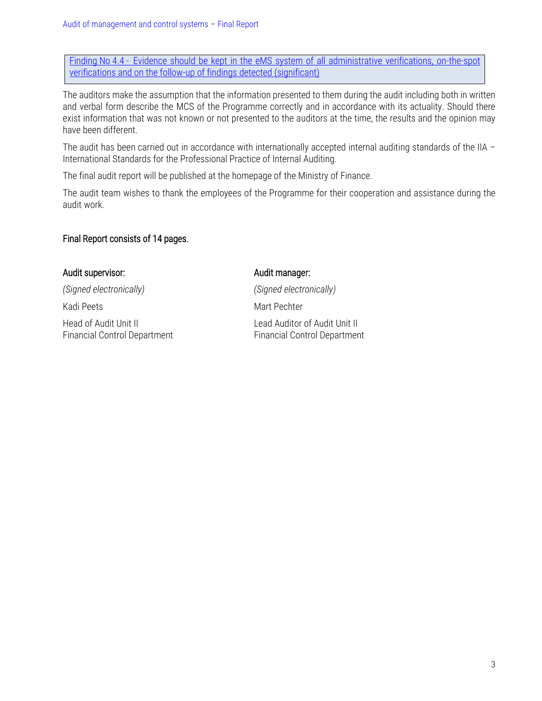Finding No 4.4 - Evidence should be kept in the eMS system of all administrative verifications, on-the-spot [verifications and on the follow-up of findings detected \(significant\)](#page-10-0)

The auditors make the assumption that the information presented to them during the audit including both in written and verbal form describe the MCS of the Programme correctly and in accordance with its actuality. Should there exist information that was not known or not presented to the auditors at the time, the results and the opinion may have been different.

The audit has been carried out in accordance with internationally accepted internal auditing standards of the IIA – International Standards for the Professional Practice of Internal Auditing.

The final audit report will be published at the homepage of the Ministry of Finance.

The audit team wishes to thank the employees of the Programme for their cooperation and assistance during the audit work.

### Final Report consists of 14 pages.

### Audit supervisor: Audit manager:

Head of Audit Unit II Lead Auditor of Audit Unit II

*(Signed electronically) (Signed electronically)* Kadi Peets Mart Pechter Financial Control Department Financial Control Department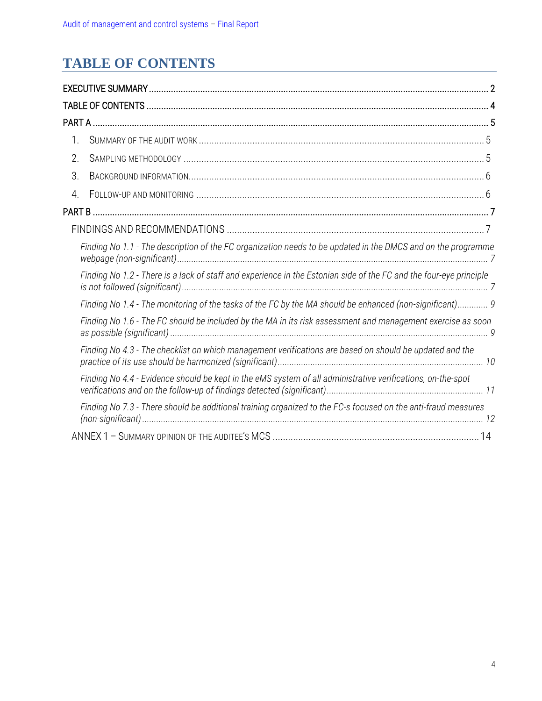# <span id="page-3-0"></span>**TABLE OF CONTENTS**

| 1. |                                                                                                                    |  |
|----|--------------------------------------------------------------------------------------------------------------------|--|
| 2. |                                                                                                                    |  |
| 3. |                                                                                                                    |  |
| 4. |                                                                                                                    |  |
|    |                                                                                                                    |  |
|    |                                                                                                                    |  |
|    | Finding No 1.1 - The description of the FC organization needs to be updated in the DMCS and on the programme       |  |
|    | Finding No 1.2 - There is a lack of staff and experience in the Estonian side of the FC and the four-eye principle |  |
|    | Finding No 1.4 - The monitoring of the tasks of the FC by the MA should be enhanced (non-significant) 9            |  |
|    | Finding No 1.6 - The FC should be included by the MA in its risk assessment and management exercise as soon        |  |
|    | Finding No 4.3 - The checklist on which management verifications are based on should be updated and the            |  |
|    | Finding No 4.4 - Evidence should be kept in the eMS system of all administrative verifications, on-the-spot        |  |
|    | Finding No 7.3 - There should be additional training organized to the FC-s focused on the anti-fraud measures      |  |
|    |                                                                                                                    |  |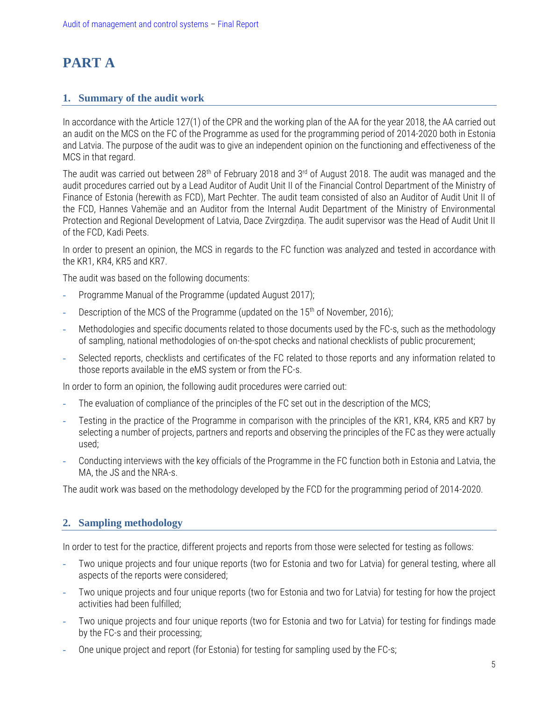## <span id="page-4-0"></span>**PART A**

### <span id="page-4-1"></span>**1. Summary of the audit work**

In accordance with the Article 127(1) of the CPR and the working plan of the AA for the year 2018, the AA carried out an audit on the MCS on the FC of the Programme as used for the programming period of 2014-2020 both in Estonia and Latvia. The purpose of the audit was to give an independent opinion on the functioning and effectiveness of the MCS in that regard.

The audit was carried out between 28<sup>th</sup> of February 2018 and 3<sup>rd</sup> of August 2018. The audit was managed and the audit procedures carried out by a Lead Auditor of Audit Unit II of the Financial Control Department of the Ministry of Finance of Estonia (herewith as FCD), Mart Pechter. The audit team consisted of also an Auditor of Audit Unit II of the FCD, Hannes Vahemäe and an Auditor from the Internal Audit Department of the Ministry of Environmental Protection and Regional Development of Latvia, Dace Zvirgzdiņa. The audit supervisor was the Head of Audit Unit II of the FCD, Kadi Peets.

In order to present an opinion, the MCS in regards to the FC function was analyzed and tested in accordance with the KR1, KR4, KR5 and KR7.

The audit was based on the following documents:

- **-** Programme Manual of the Programme (updated August 2017);
- **-** Description of the MCS of the Programme (updated on the 15th of November, 2016);
- **-** Methodologies and specific documents related to those documents used by the FC-s, such as the methodology of sampling, national methodologies of on-the-spot checks and national checklists of public procurement;
- **-** Selected reports, checklists and certificates of the FC related to those reports and any information related to those reports available in the eMS system or from the FC-s.

In order to form an opinion, the following audit procedures were carried out:

- **-** The evaluation of compliance of the principles of the FC set out in the description of the MCS;
- **-** Testing in the practice of the Programme in comparison with the principles of the KR1, KR4, KR5 and KR7 by selecting a number of projects, partners and reports and observing the principles of the FC as they were actually used;
- **-** Conducting interviews with the key officials of the Programme in the FC function both in Estonia and Latvia, the MA, the JS and the NRA-s.

<span id="page-4-2"></span>The audit work was based on the methodology developed by the FCD for the programming period of 2014-2020.

### **2. Sampling methodology**

In order to test for the practice, different projects and reports from those were selected for testing as follows:

- **-** Two unique projects and four unique reports (two for Estonia and two for Latvia) for general testing, where all aspects of the reports were considered;
- **-** Two unique projects and four unique reports (two for Estonia and two for Latvia) for testing for how the project activities had been fulfilled;
- **-** Two unique projects and four unique reports (two for Estonia and two for Latvia) for testing for findings made by the FC-s and their processing;
- **-** One unique project and report (for Estonia) for testing for sampling used by the FC-s;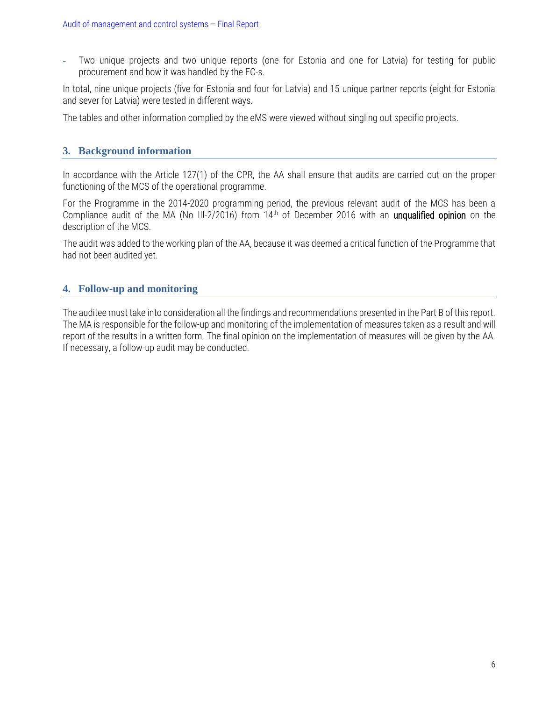**-** Two unique projects and two unique reports (one for Estonia and one for Latvia) for testing for public procurement and how it was handled by the FC-s.

In total, nine unique projects (five for Estonia and four for Latvia) and 15 unique partner reports (eight for Estonia and sever for Latvia) were tested in different ways.

The tables and other information complied by the eMS were viewed without singling out specific projects.

### <span id="page-5-0"></span>**3. Background information**

In accordance with the Article 127(1) of the CPR, the AA shall ensure that audits are carried out on the proper functioning of the MCS of the operational programme.

For the Programme in the 2014-2020 programming period, the previous relevant audit of the MCS has been a Compliance audit of the MA (No III-2/2016) from 14<sup>th</sup> of December 2016 with an unqualified opinion on the description of the MCS.

The audit was added to the working plan of the AA, because it was deemed a critical function of the Programme that had not been audited yet.

### <span id="page-5-1"></span>**4. Follow-up and monitoring**

The auditee must take into consideration all the findings and recommendations presented in the Part B of this report. The MA is responsible for the follow-up and monitoring of the implementation of measures taken as a result and will report of the results in a written form. The final opinion on the implementation of measures will be given by the AA. If necessary, a follow-up audit may be conducted.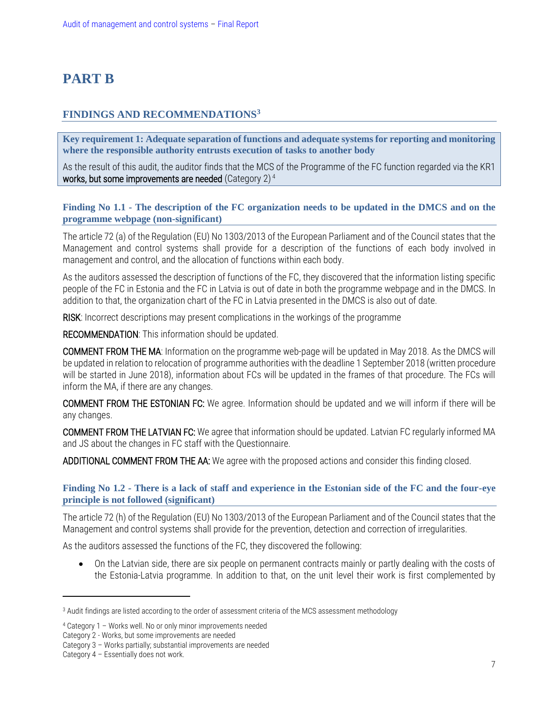### <span id="page-6-1"></span>**PART B**

### <span id="page-6-2"></span>**FINDINGS AND RECOMMENDATIONS<sup>3</sup>**

**Key requirement 1: Adequate separation of functions and adequate systems for reporting and monitoring where the responsible authority entrusts execution of tasks to another body**

As the result of this audit, the auditor finds that the MCS of the Programme of the FC function regarded via the KR1 works, but some improvements are needed (Category  $2)^4$ 

### <span id="page-6-3"></span>**Finding No 1.1 - The description of the FC organization needs to be updated in the DMCS and on the programme webpage (non-significant)**

The article 72 (a) of the Regulation (EU) No 1303/2013 of the European Parliament and of the Council states that the Management and control systems shall provide for a description of the functions of each body involved in management and control, and the allocation of functions within each body.

As the auditors assessed the description of functions of the FC, they discovered that the information listing specific people of the FC in Estonia and the FC in Latvia is out of date in both the programme webpage and in the DMCS. In addition to that, the organization chart of the FC in Latvia presented in the DMCS is also out of date.

RISK: Incorrect descriptions may present complications in the workings of the programme

RECOMMENDATION: This information should be updated.

<span id="page-6-0"></span>COMMENT FROM THE MA: Information on the programme web-page will be updated in May 2018. As the DMCS will be updated in relation to relocation of programme authorities with the deadline 1 September 2018 (written procedure will be started in June 2018), information about FCs will be updated in the frames of that procedure. The FCs will inform the MA, if there are any changes.

COMMENT FROM THE ESTONIAN FC: We agree. Information should be updated and we will inform if there will be any changes.

COMMENT FROM THE LATVIAN FC: We agree that information should be updated. Latvian FC regularly informed MA and JS about the changes in FC staff with the Questionnaire.

ADDITIONAL COMMENT FROM THE AA: We agree with the proposed actions and consider this finding closed.

### <span id="page-6-4"></span>**Finding No 1.2 - There is a lack of staff and experience in the Estonian side of the FC and the four-eye principle is not followed (significant)**

The article 72 (h) of the Regulation (EU) No 1303/2013 of the European Parliament and of the Council states that the Management and control systems shall provide for the prevention, detection and correction of irregularities.

As the auditors assessed the functions of the FC, they discovered the following:

 On the Latvian side, there are six people on permanent contracts mainly or partly dealing with the costs of the Estonia-Latvia programme. In addition to that, on the unit level their work is first complemented by

<sup>&</sup>lt;sup>3</sup> Audit findings are listed according to the order of assessment criteria of the MCS assessment methodology

<sup>4</sup> Category 1 – Works well. No or only minor improvements needed

Category 2 - Works, but some improvements are needed

Category 3 – Works partially; substantial improvements are needed

Category 4 – Essentially does not work.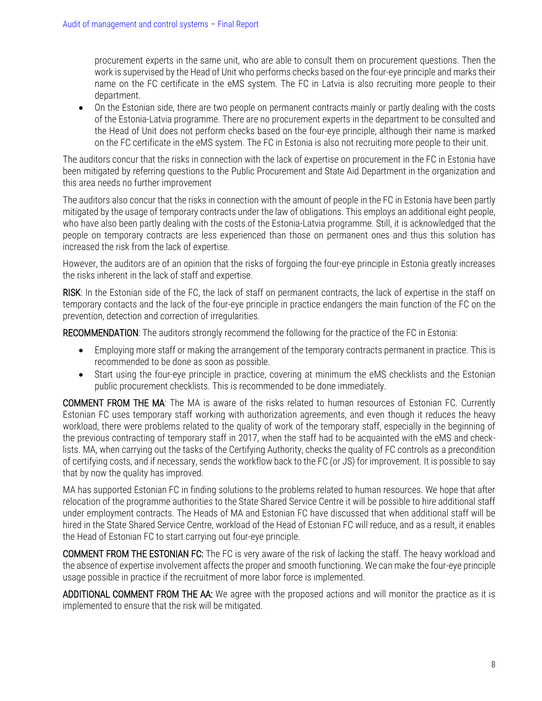procurement experts in the same unit, who are able to consult them on procurement questions. Then the work is supervised by the Head of Unit who performs checks based on the four-eye principle and marks their name on the FC certificate in the eMS system. The FC in Latvia is also recruiting more people to their department.

 On the Estonian side, there are two people on permanent contracts mainly or partly dealing with the costs of the Estonia-Latvia programme. There are no procurement experts in the department to be consulted and the Head of Unit does not perform checks based on the four-eye principle, although their name is marked on the FC certificate in the eMS system. The FC in Estonia is also not recruiting more people to their unit.

The auditors concur that the risks in connection with the lack of expertise on procurement in the FC in Estonia have been mitigated by referring questions to the Public Procurement and State Aid Department in the organization and this area needs no further improvement

The auditors also concur that the risks in connection with the amount of people in the FC in Estonia have been partly mitigated by the usage of temporary contracts under the law of obligations. This employs an additional eight people, who have also been partly dealing with the costs of the Estonia-Latvia programme. Still, it is acknowledged that the people on temporary contracts are less experienced than those on permanent ones and thus this solution has increased the risk from the lack of expertise.

However, the auditors are of an opinion that the risks of forgoing the four-eye principle in Estonia greatly increases the risks inherent in the lack of staff and expertise.

RISK: In the Estonian side of the FC, the lack of staff on permanent contracts, the lack of expertise in the staff on temporary contacts and the lack of the four-eye principle in practice endangers the main function of the FC on the prevention, detection and correction of irregularities.

RECOMMENDATION: The auditors strongly recommend the following for the practice of the FC in Estonia:

- Employing more staff or making the arrangement of the temporary contracts permanent in practice. This is recommended to be done as soon as possible.
- Start using the four-eye principle in practice, covering at minimum the eMS checklists and the Estonian public procurement checklists. This is recommended to be done immediately.

COMMENT FROM THE MA: The MA is aware of the risks related to human resources of Estonian FC. Currently Estonian FC uses temporary staff working with authorization agreements, and even though it reduces the heavy workload, there were problems related to the quality of work of the temporary staff, especially in the beginning of the previous contracting of temporary staff in 2017, when the staff had to be acquainted with the eMS and checklists. MA, when carrying out the tasks of the Certifying Authority, checks the quality of FC controls as a precondition of certifying costs, and if necessary, sends the workflow back to the FC (or JS) for improvement. It is possible to say that by now the quality has improved.

MA has supported Estonian FC in finding solutions to the problems related to human resources. We hope that after relocation of the programme authorities to the State Shared Service Centre it will be possible to hire additional staff under employment contracts. The Heads of MA and Estonian FC have discussed that when additional staff will be hired in the State Shared Service Centre, workload of the Head of Estonian FC will reduce, and as a result, it enables the Head of Estonian FC to start carrying out four-eye principle.

COMMENT FROM THE ESTONIAN FC: The FC is very aware of the risk of lacking the staff. The heavy workload and the absence of expertise involvement affects the proper and smooth functioning. We can make the four-eye principle usage possible in practice if the recruitment of more labor force is implemented.

ADDITIONAL COMMENT FROM THE AA: We agree with the proposed actions and will monitor the practice as it is implemented to ensure that the risk will be mitigated.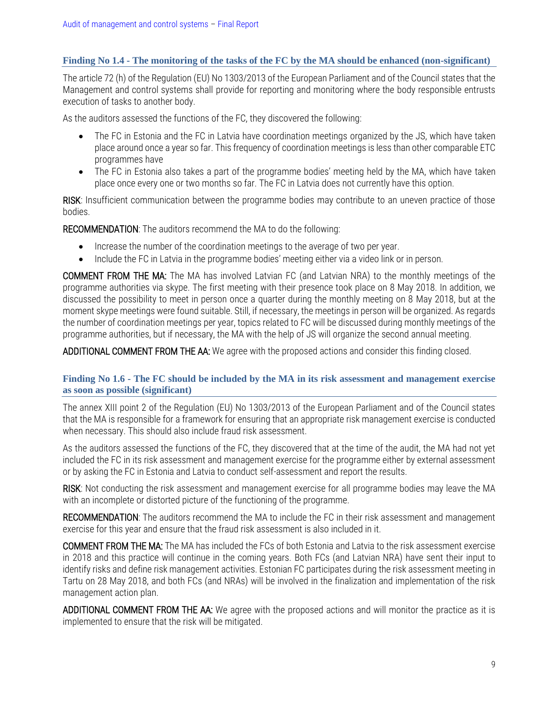### <span id="page-8-1"></span>**Finding No 1.4 - The monitoring of the tasks of the FC by the MA should be enhanced (non-significant)**

The article 72 (h) of the Regulation (EU) No 1303/2013 of the European Parliament and of the Council states that the Management and control systems shall provide for reporting and monitoring where the body responsible entrusts execution of tasks to another body.

As the auditors assessed the functions of the FC, they discovered the following:

- The FC in Estonia and the FC in Latvia have coordination meetings organized by the JS, which have taken place around once a year so far. This frequency of coordination meetings is less than other comparable ETC programmes have
- The FC in Estonia also takes a part of the programme bodies' meeting held by the MA, which have taken place once every one or two months so far. The FC in Latvia does not currently have this option.

RISK: Insufficient communication between the programme bodies may contribute to an uneven practice of those bodies.

RECOMMENDATION: The auditors recommend the MA to do the following:

- Increase the number of the coordination meetings to the average of two per year.
- Include the FC in Latvia in the programme bodies' meeting either via a video link or in person.

COMMENT FROM THE MA: The MA has involved Latvian FC (and Latvian NRA) to the monthly meetings of the programme authorities via skype. The first meeting with their presence took place on 8 May 2018. In addition, we discussed the possibility to meet in person once a quarter during the monthly meeting on 8 May 2018, but at the moment skype meetings were found suitable. Still, if necessary, the meetings in person will be organized. As regards the number of coordination meetings per year, topics related to FC will be discussed during monthly meetings of the programme authorities, but if necessary, the MA with the help of JS will organize the second annual meeting.

ADDITIONAL COMMENT FROM THE AA: We agree with the proposed actions and consider this finding closed.

#### <span id="page-8-0"></span>**Finding No 1.6 - The FC should be included by the MA in its risk assessment and management exercise as soon as possible (significant)**

The annex XIII point 2 of the Regulation (EU) No 1303/2013 of the European Parliament and of the Council states that the MA is responsible for a framework for ensuring that an appropriate risk management exercise is conducted when necessary. This should also include fraud risk assessment.

As the auditors assessed the functions of the FC, they discovered that at the time of the audit, the MA had not yet included the FC in its risk assessment and management exercise for the programme either by external assessment or by asking the FC in Estonia and Latvia to conduct self-assessment and report the results.

RISK: Not conducting the risk assessment and management exercise for all programme bodies may leave the MA with an incomplete or distorted picture of the functioning of the programme.

RECOMMENDATION: The auditors recommend the MA to include the FC in their risk assessment and management exercise for this year and ensure that the fraud risk assessment is also included in it.

COMMENT FROM THE MA: The MA has included the FCs of both Estonia and Latvia to the risk assessment exercise in 2018 and this practice will continue in the coming years. Both FCs (and Latvian NRA) have sent their input to identify risks and define risk management activities. Estonian FC participates during the risk assessment meeting in Tartu on 28 May 2018, and both FCs (and NRAs) will be involved in the finalization and implementation of the risk management action plan.

ADDITIONAL COMMENT FROM THE AA: We agree with the proposed actions and will monitor the practice as it is implemented to ensure that the risk will be mitigated.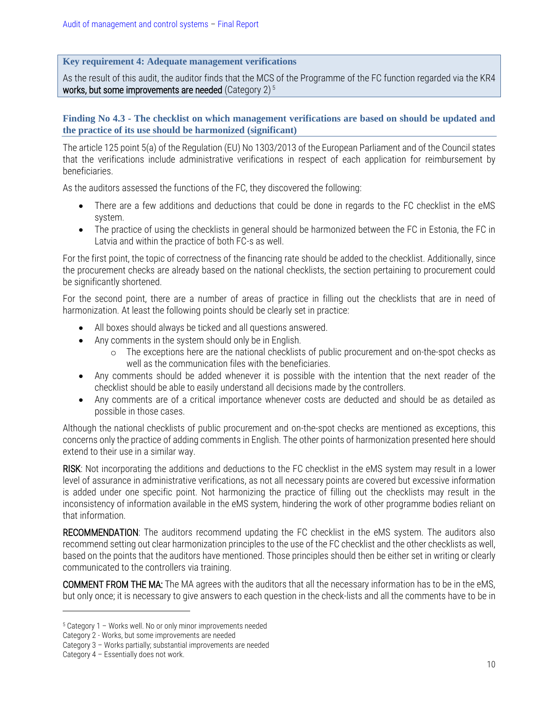### **Key requirement 4: Adequate management verifications**

As the result of this audit, the auditor finds that the MCS of the Programme of the FC function regarded via the KR4 works, but some improvements are needed (Category 2) $5$ 

### <span id="page-9-0"></span>**Finding No 4.3 - The checklist on which management verifications are based on should be updated and the practice of its use should be harmonized (significant)**

The article 125 point 5(a) of the Regulation (EU) No 1303/2013 of the European Parliament and of the Council states that the verifications include administrative verifications in respect of each application for reimbursement by beneficiaries.

As the auditors assessed the functions of the FC, they discovered the following:

- There are a few additions and deductions that could be done in regards to the FC checklist in the eMS system.
- The practice of using the checklists in general should be harmonized between the FC in Estonia, the FC in Latvia and within the practice of both FC-s as well.

For the first point, the topic of correctness of the financing rate should be added to the checklist. Additionally, since the procurement checks are already based on the national checklists, the section pertaining to procurement could be significantly shortened.

For the second point, there are a number of areas of practice in filling out the checklists that are in need of harmonization. At least the following points should be clearly set in practice:

- All boxes should always be ticked and all questions answered.
- Any comments in the system should only be in English.
	- o The exceptions here are the national checklists of public procurement and on-the-spot checks as well as the communication files with the beneficiaries.
- Any comments should be added whenever it is possible with the intention that the next reader of the checklist should be able to easily understand all decisions made by the controllers.
- Any comments are of a critical importance whenever costs are deducted and should be as detailed as possible in those cases.

Although the national checklists of public procurement and on-the-spot checks are mentioned as exceptions, this concerns only the practice of adding comments in English. The other points of harmonization presented here should extend to their use in a similar way.

RISK: Not incorporating the additions and deductions to the FC checklist in the eMS system may result in a lower level of assurance in administrative verifications, as not all necessary points are covered but excessive information is added under one specific point. Not harmonizing the practice of filling out the checklists may result in the inconsistency of information available in the eMS system, hindering the work of other programme bodies reliant on that information.

RECOMMENDATION: The auditors recommend updating the FC checklist in the eMS system. The auditors also recommend setting out clear harmonization principles to the use of the FC checklist and the other checklists as well, based on the points that the auditors have mentioned. Those principles should then be either set in writing or clearly communicated to the controllers via training.

COMMENT FROM THE MA: The MA agrees with the auditors that all the necessary information has to be in the eMS, but only once; it is necessary to give answers to each question in the check-lists and all the comments have to be in

<sup>5</sup> Category 1 – Works well. No or only minor improvements needed

Category 2 - Works, but some improvements are needed

Category 3 – Works partially; substantial improvements are needed

Category 4 – Essentially does not work.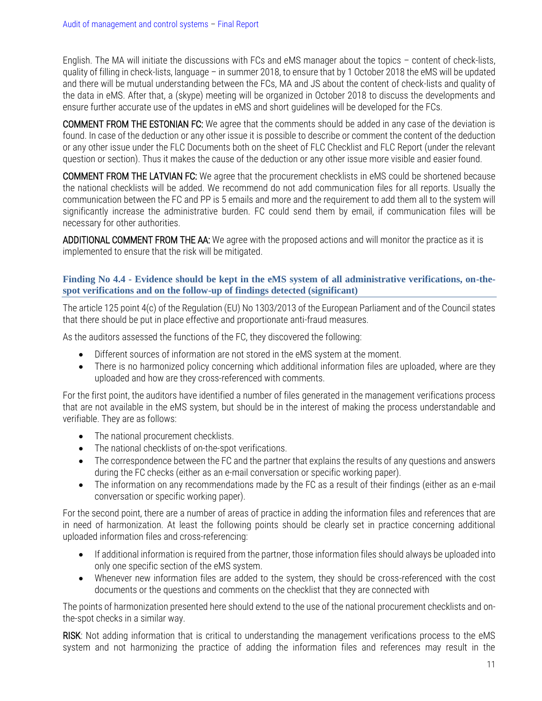English. The MA will initiate the discussions with FCs and eMS manager about the topics – content of check-lists, quality of filling in check-lists, language – in summer 2018, to ensure that by 1 October 2018 the eMS will be updated and there will be mutual understanding between the FCs, MA and JS about the content of check-lists and quality of the data in eMS. After that, a (skype) meeting will be organized in October 2018 to discuss the developments and ensure further accurate use of the updates in eMS and short guidelines will be developed for the FCs.

COMMENT FROM THE ESTONIAN FC: We agree that the comments should be added in any case of the deviation is found. In case of the deduction or any other issue it is possible to describe or comment the content of the deduction or any other issue under the FLC Documents both on the sheet of FLC Checklist and FLC Report (under the relevant question or section). Thus it makes the cause of the deduction or any other issue more visible and easier found.

COMMENT FROM THE LATVIAN FC: We agree that the procurement checklists in eMS could be shortened because the national checklists will be added. We recommend do not add communication files for all reports. Usually the communication between the FC and PP is 5 emails and more and the requirement to add them all to the system will significantly increase the administrative burden. FC could send them by email, if communication files will be necessary for other authorities.

ADDITIONAL COMMENT FROM THE AA: We agree with the proposed actions and will monitor the practice as it is implemented to ensure that the risk will be mitigated.

#### <span id="page-10-0"></span>**Finding No 4.4 - Evidence should be kept in the eMS system of all administrative verifications, on-thespot verifications and on the follow-up of findings detected (significant)**

The article 125 point 4(c) of the Regulation (EU) No 1303/2013 of the European Parliament and of the Council states that there should be put in place effective and proportionate anti-fraud measures.

As the auditors assessed the functions of the FC, they discovered the following:

- Different sources of information are not stored in the eMS system at the moment.
- There is no harmonized policy concerning which additional information files are uploaded, where are they uploaded and how are they cross-referenced with comments.

For the first point, the auditors have identified a number of files generated in the management verifications process that are not available in the eMS system, but should be in the interest of making the process understandable and verifiable. They are as follows:

- The national procurement checklists.
- The national checklists of on-the-spot verifications.
- The correspondence between the FC and the partner that explains the results of any questions and answers during the FC checks (either as an e-mail conversation or specific working paper).
- The information on any recommendations made by the FC as a result of their findings (either as an e-mail conversation or specific working paper).

For the second point, there are a number of areas of practice in adding the information files and references that are in need of harmonization. At least the following points should be clearly set in practice concerning additional uploaded information files and cross-referencing:

- If additional information is required from the partner, those information files should always be uploaded into only one specific section of the eMS system.
- Whenever new information files are added to the system, they should be cross-referenced with the cost documents or the questions and comments on the checklist that they are connected with

The points of harmonization presented here should extend to the use of the national procurement checklists and onthe-spot checks in a similar way.

RISK: Not adding information that is critical to understanding the management verifications process to the eMS system and not harmonizing the practice of adding the information files and references may result in the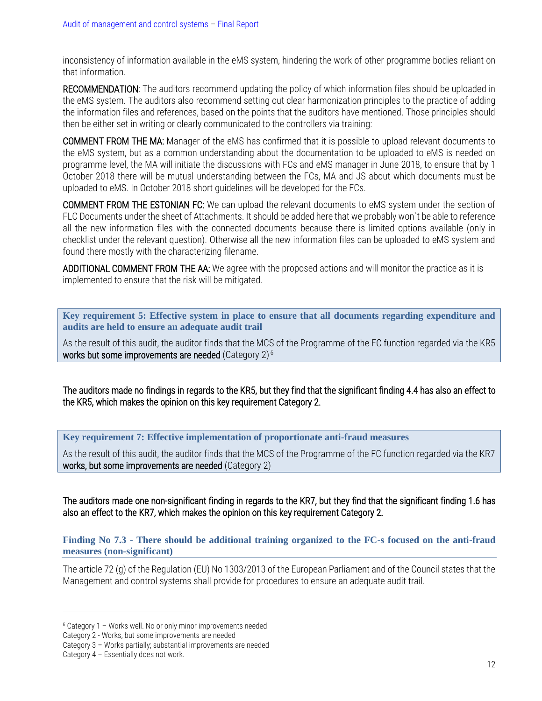inconsistency of information available in the eMS system, hindering the work of other programme bodies reliant on that information.

RECOMMENDATION: The auditors recommend updating the policy of which information files should be uploaded in the eMS system. The auditors also recommend setting out clear harmonization principles to the practice of adding the information files and references, based on the points that the auditors have mentioned. Those principles should then be either set in writing or clearly communicated to the controllers via training:

COMMENT FROM THE MA: Manager of the eMS has confirmed that it is possible to upload relevant documents to the eMS system, but as a common understanding about the documentation to be uploaded to eMS is needed on programme level, the MA will initiate the discussions with FCs and eMS manager in June 2018, to ensure that by 1 October 2018 there will be mutual understanding between the FCs, MA and JS about which documents must be uploaded to eMS. In October 2018 short guidelines will be developed for the FCs.

COMMENT FROM THE ESTONIAN FC: We can upload the relevant documents to eMS system under the section of FLC Documents under the sheet of Attachments. It should be added here that we probably won`t be able to reference all the new information files with the connected documents because there is limited options available (only in checklist under the relevant question). Otherwise all the new information files can be uploaded to eMS system and found there mostly with the characterizing filename.

ADDITIONAL COMMENT FROM THE AA: We agree with the proposed actions and will monitor the practice as it is implemented to ensure that the risk will be mitigated.

**Key requirement 5: Effective system in place to ensure that all documents regarding expenditure and audits are held to ensure an adequate audit trail**

As the result of this audit, the auditor finds that the MCS of the Programme of the FC function regarded via the KR5 works but some improvements are needed (Category 2) $^6$ 

The auditors made no findings in regards to the KR5, but they find that the significant finding 4.4 has also an effect to the KR5, which makes the opinion on this key requirement Category 2.

**Key requirement 7: Effective implementation of proportionate anti-fraud measures**

As the result of this audit, the auditor finds that the MCS of the Programme of the FC function regarded via the KR7 works, but some improvements are needed (Category 2)

The auditors made one non-significant finding in regards to the KR7, but they find that the significant finding 1.6 has also an effect to the KR7, which makes the opinion on this key requirement Category 2.

<span id="page-11-0"></span>**Finding No 7.3 - There should be additional training organized to the FC-s focused on the anti-fraud measures (non-significant)** 

The article 72 (g) of the Regulation (EU) No 1303/2013 of the European Parliament and of the Council states that the Management and control systems shall provide for procedures to ensure an adequate audit trail.

<sup>6</sup> Category 1 – Works well. No or only minor improvements needed

Category 2 - Works, but some improvements are needed

Category 3 – Works partially; substantial improvements are needed

Category 4 – Essentially does not work.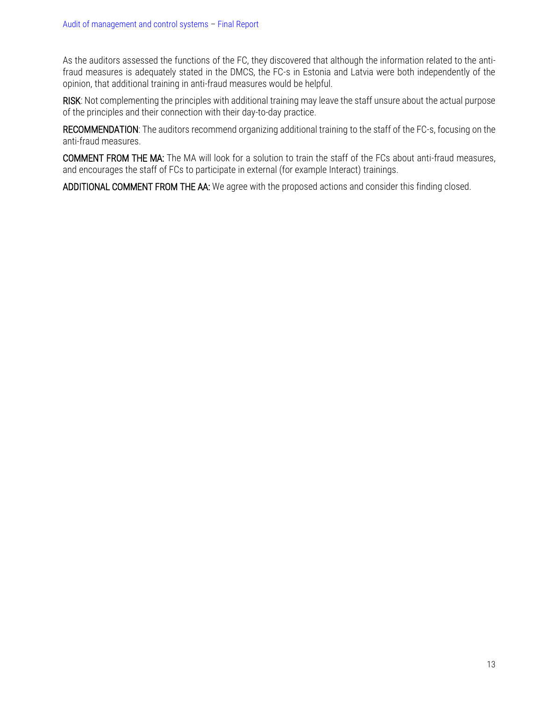As the auditors assessed the functions of the FC, they discovered that although the information related to the antifraud measures is adequately stated in the DMCS, the FC-s in Estonia and Latvia were both independently of the opinion, that additional training in anti-fraud measures would be helpful.

RISK: Not complementing the principles with additional training may leave the staff unsure about the actual purpose of the principles and their connection with their day-to-day practice.

RECOMMENDATION: The auditors recommend organizing additional training to the staff of the FC-s, focusing on the anti-fraud measures.

COMMENT FROM THE MA: The MA will look for a solution to train the staff of the FCs about anti-fraud measures, and encourages the staff of FCs to participate in external (for example Interact) trainings.

ADDITIONAL COMMENT FROM THE AA: We agree with the proposed actions and consider this finding closed.